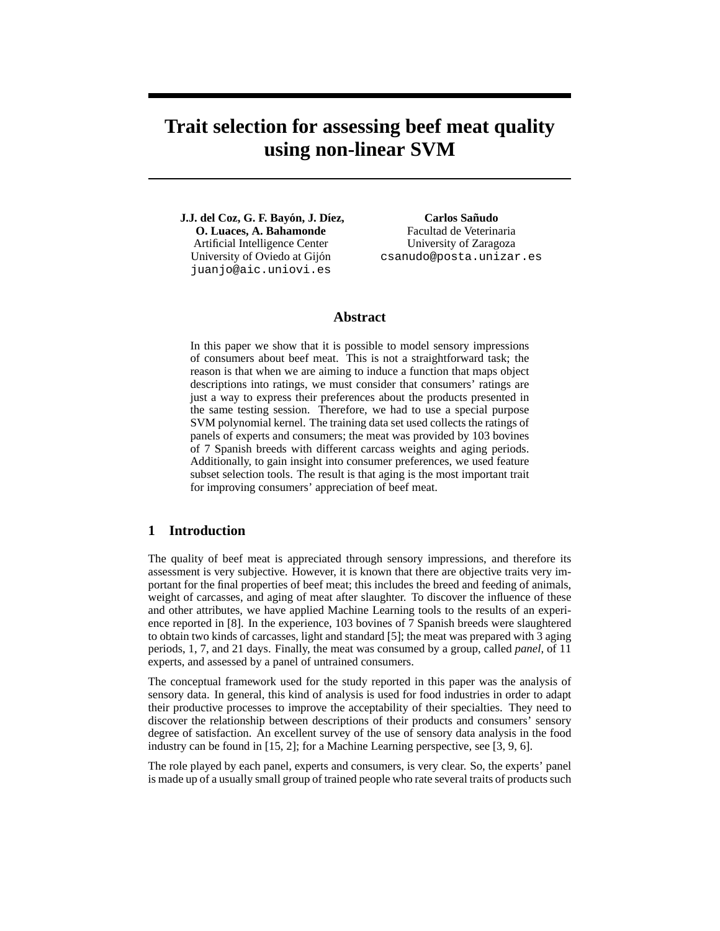# **Trait selection for assessing beef meat quality using non-linear SVM**

**J.J. del Coz, G. F. Bayon, J. D ´ ´ıez, O. Luaces, A. Bahamonde** Artificial Intelligence Center University of Oviedo at Gijon´ juanjo@aic.uniovi.es

**Carlos Sanudo ˜** Facultad de Veterinaria University of Zaragoza csanudo@posta.unizar.es

## **Abstract**

In this paper we show that it is possible to model sensory impressions of consumers about beef meat. This is not a straightforward task; the reason is that when we are aiming to induce a function that maps object descriptions into ratings, we must consider that consumers' ratings are just a way to express their preferences about the products presented in the same testing session. Therefore, we had to use a special purpose SVM polynomial kernel. The training data set used collects the ratings of panels of experts and consumers; the meat was provided by 103 bovines of 7 Spanish breeds with different carcass weights and aging periods. Additionally, to gain insight into consumer preferences, we used feature subset selection tools. The result is that aging is the most important trait for improving consumers' appreciation of beef meat.

## **1 Introduction**

The quality of beef meat is appreciated through sensory impressions, and therefore its assessment is very subjective. However, it is known that there are objective traits very important for the final properties of beef meat; this includes the breed and feeding of animals, weight of carcasses, and aging of meat after slaughter. To discover the influence of these and other attributes, we have applied Machine Learning tools to the results of an experience reported in [8]. In the experience, 103 bovines of 7 Spanish breeds were slaughtered to obtain two kinds of carcasses, light and standard [5]; the meat was prepared with 3 aging periods, 1, 7, and 21 days. Finally, the meat was consumed by a group, called *panel*, of 11 experts, and assessed by a panel of untrained consumers.

The conceptual framework used for the study reported in this paper was the analysis of sensory data. In general, this kind of analysis is used for food industries in order to adapt their productive processes to improve the acceptability of their specialties. They need to discover the relationship between descriptions of their products and consumers' sensory degree of satisfaction. An excellent survey of the use of sensory data analysis in the food industry can be found in [15, 2]; for a Machine Learning perspective, see [3, 9, 6].

The role played by each panel, experts and consumers, is very clear. So, the experts' panel is made up of a usually small group of trained people who rate several traits of products such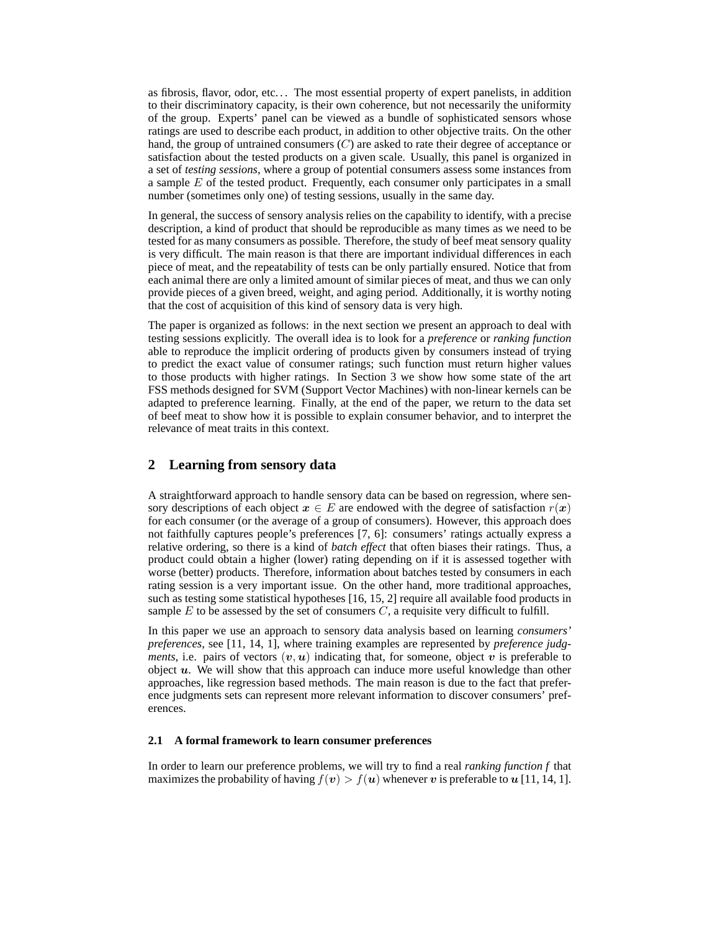as fibrosis, flavor, odor, etc. . . The most essential property of expert panelists, in addition to their discriminatory capacity, is their own coherence, but not necessarily the uniformity of the group. Experts' panel can be viewed as a bundle of sophisticated sensors whose ratings are used to describe each product, in addition to other objective traits. On the other hand, the group of untrained consumers  $(C)$  are asked to rate their degree of acceptance or satisfaction about the tested products on a given scale. Usually, this panel is organized in a set of *testing sessions*, where a group of potential consumers assess some instances from a sample  $E$  of the tested product. Frequently, each consumer only participates in a small number (sometimes only one) of testing sessions, usually in the same day.

In general, the success of sensory analysis relies on the capability to identify, with a precise description, a kind of product that should be reproducible as many times as we need to be tested for as many consumers as possible. Therefore, the study of beef meat sensory quality is very difficult. The main reason is that there are important individual differences in each piece of meat, and the repeatability of tests can be only partially ensured. Notice that from each animal there are only a limited amount of similar pieces of meat, and thus we can only provide pieces of a given breed, weight, and aging period. Additionally, it is worthy noting that the cost of acquisition of this kind of sensory data is very high.

The paper is organized as follows: in the next section we present an approach to deal with testing sessions explicitly. The overall idea is to look for a *preference* or *ranking function* able to reproduce the implicit ordering of products given by consumers instead of trying to predict the exact value of consumer ratings; such function must return higher values to those products with higher ratings. In Section 3 we show how some state of the art FSS methods designed for SVM (Support Vector Machines) with non-linear kernels can be adapted to preference learning. Finally, at the end of the paper, we return to the data set of beef meat to show how it is possible to explain consumer behavior, and to interpret the relevance of meat traits in this context.

## **2 Learning from sensory data**

A straightforward approach to handle sensory data can be based on regression, where sensory descriptions of each object  $x \in E$  are endowed with the degree of satisfaction  $r(x)$ for each consumer (or the average of a group of consumers). However, this approach does not faithfully captures people's preferences [7, 6]: consumers' ratings actually express a relative ordering, so there is a kind of *batch effect* that often biases their ratings. Thus, a product could obtain a higher (lower) rating depending on if it is assessed together with worse (better) products. Therefore, information about batches tested by consumers in each rating session is a very important issue. On the other hand, more traditional approaches, such as testing some statistical hypotheses [16, 15, 2] require all available food products in sample  $E$  to be assessed by the set of consumers  $C$ , a requisite very difficult to fulfill.

In this paper we use an approach to sensory data analysis based on learning *consumers' preferences*, see [11, 14, 1], where training examples are represented by *preference judgments*, i.e. pairs of vectors  $(v, u)$  indicating that, for someone, object v is preferable to object  $u$ . We will show that this approach can induce more useful knowledge than other approaches, like regression based methods. The main reason is due to the fact that preference judgments sets can represent more relevant information to discover consumers' preferences.

#### **2.1 A formal framework to learn consumer preferences**

In order to learn our preference problems, we will try to find a real *ranking function f* that maximizes the probability of having  $f(v) > f(u)$  whenever v is preferable to u [11, 14, 1].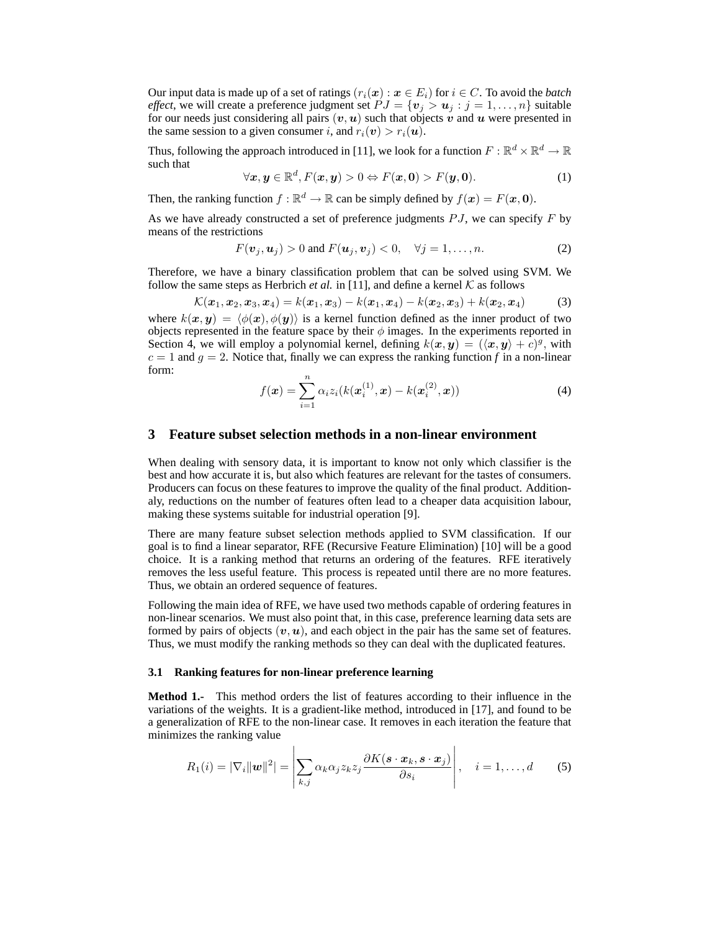Our input data is made up of a set of ratings  $(r_i(\mathbf{x}) : \mathbf{x} \in E_i)$  for  $i \in C$ . To avoid the *batch effect*, we will create a preference judgment set  $PJ = \{v_j > u_j : j = 1, ..., n\}$  suitable for our needs just considering all pairs  $(v, u)$  such that objects v and u were presented in the same session to a given consumer i, and  $r_i(\mathbf{v}) > r_i(\mathbf{u})$ .

Thus, following the approach introduced in [11], we look for a function  $F : \mathbb{R}^d \times \mathbb{R}^d \to \mathbb{R}$ such that

$$
\forall x, y \in \mathbb{R}^d, F(x, y) > 0 \Leftrightarrow F(x, 0) > F(y, 0).
$$
 (1)

Then, the ranking function  $f : \mathbb{R}^d \to \mathbb{R}$  can be simply defined by  $f(x) = F(x, 0)$ .

As we have already constructed a set of preference judgments  $PJ$ , we can specify  $F$  by means of the restrictions

$$
F(\mathbf{v}_j, \mathbf{u}_j) > 0 \text{ and } F(\mathbf{u}_j, \mathbf{v}_j) < 0, \quad \forall j = 1, \dots, n. \tag{2}
$$

Therefore, we have a binary classification problem that can be solved using SVM. We follow the same steps as Herbrich *et al.* in [11], and define a kernel  $K$  as follows

$$
\mathcal{K}(\boldsymbol{x}_1, \boldsymbol{x}_2, \boldsymbol{x}_3, \boldsymbol{x}_4) = k(\boldsymbol{x}_1, \boldsymbol{x}_3) - k(\boldsymbol{x}_1, \boldsymbol{x}_4) - k(\boldsymbol{x}_2, \boldsymbol{x}_3) + k(\boldsymbol{x}_2, \boldsymbol{x}_4)
$$
(3)

where  $k(x, y) = \langle \phi(x), \phi(y) \rangle$  is a kernel function defined as the inner product of two objects represented in the feature space by their  $\phi$  images. In the experiments reported in Section 4, we will employ a polynomial kernel, defining  $k(x, y) = (\langle x, y \rangle + c)^g$ , with  $c = 1$  and  $q = 2$ . Notice that, finally we can express the ranking function f in a non-linear form:

$$
f(\boldsymbol{x}) = \sum_{i=1}^{n} \alpha_i z_i (k(\boldsymbol{x}_i^{(1)}, \boldsymbol{x}) - k(\boldsymbol{x}_i^{(2)}, \boldsymbol{x}))
$$
 (4)

## **3 Feature subset selection methods in a non-linear environment**

When dealing with sensory data, it is important to know not only which classifier is the best and how accurate it is, but also which features are relevant for the tastes of consumers. Producers can focus on these features to improve the quality of the final product. Additionaly, reductions on the number of features often lead to a cheaper data acquisition labour, making these systems suitable for industrial operation [9].

There are many feature subset selection methods applied to SVM classification. If our goal is to find a linear separator, RFE (Recursive Feature Elimination) [10] will be a good choice. It is a ranking method that returns an ordering of the features. RFE iteratively removes the less useful feature. This process is repeated until there are no more features. Thus, we obtain an ordered sequence of features.

Following the main idea of RFE, we have used two methods capable of ordering features in non-linear scenarios. We must also point that, in this case, preference learning data sets are formed by pairs of objects  $(v, u)$ , and each object in the pair has the same set of features. Thus, we must modify the ranking methods so they can deal with the duplicated features.

#### **3.1 Ranking features for non-linear preference learning**

**Method 1.-** This method orders the list of features according to their influence in the variations of the weights. It is a gradient-like method, introduced in [17], and found to be a generalization of RFE to the non-linear case. It removes in each iteration the feature that minimizes the ranking value

$$
R_1(i) = |\nabla_i| |\mathbf{w}|^2| = \left| \sum_{k,j} \alpha_k \alpha_j z_k z_j \frac{\partial K(\mathbf{s} \cdot \mathbf{x}_k, \mathbf{s} \cdot \mathbf{x}_j)}{\partial s_i} \right|, \quad i = 1, \dots, d \quad (5)
$$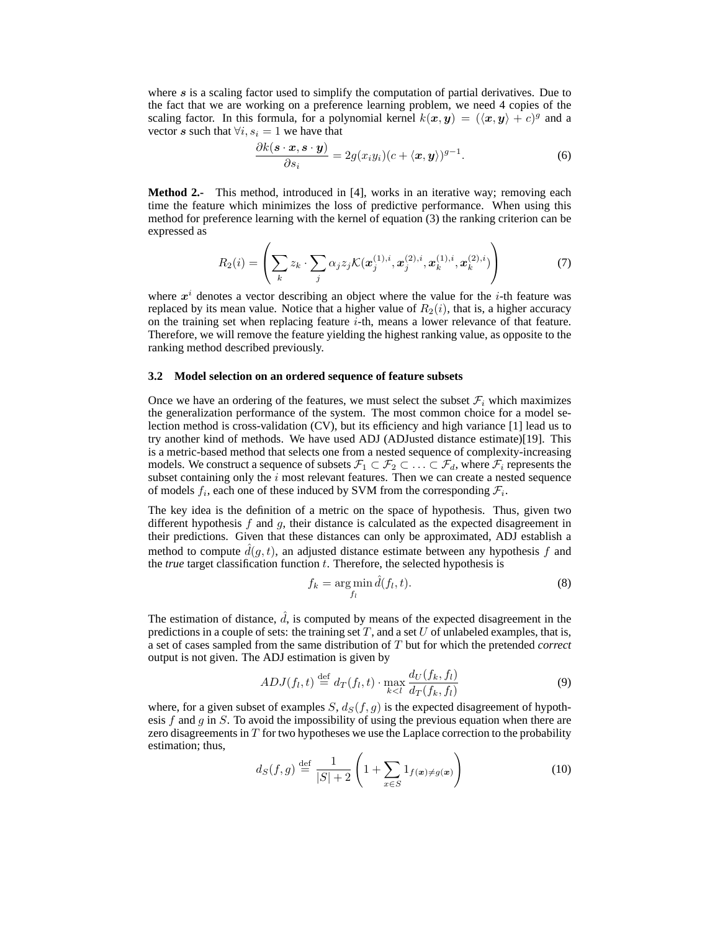where  $s$  is a scaling factor used to simplify the computation of partial derivatives. Due to the fact that we are working on a preference learning problem, we need 4 copies of the scaling factor. In this formula, for a polynomial kernel  $k(x, y) = (\langle x, y \rangle + c)^g$  and a vector s such that  $\forall i, s_i = 1$  we have that

$$
\frac{\partial k(\mathbf{s} \cdot \mathbf{x}, \mathbf{s} \cdot \mathbf{y})}{\partial s_i} = 2g(x_i y_i)(c + \langle \mathbf{x}, \mathbf{y} \rangle)^{g-1}.
$$
 (6)

**Method 2.-** This method, introduced in [4], works in an iterative way; removing each time the feature which minimizes the loss of predictive performance. When using this method for preference learning with the kernel of equation (3) the ranking criterion can be expressed as

$$
R_2(i) = \left(\sum_k z_k \cdot \sum_j \alpha_j z_j \mathcal{K}(\boldsymbol{x}_j^{(1),i}, \boldsymbol{x}_j^{(2),i}, \boldsymbol{x}_k^{(1),i}, \boldsymbol{x}_k^{(2),i})\right) \tag{7}
$$

where  $x^i$  denotes a vector describing an object where the value for the *i*-th feature was replaced by its mean value. Notice that a higher value of  $R_2(i)$ , that is, a higher accuracy on the training set when replacing feature  $i$ -th, means a lower relevance of that feature. Therefore, we will remove the feature yielding the highest ranking value, as opposite to the ranking method described previously.

#### **3.2 Model selection on an ordered sequence of feature subsets**

Once we have an ordering of the features, we must select the subset  $\mathcal{F}_i$  which maximizes the generalization performance of the system. The most common choice for a model selection method is cross-validation (CV), but its efficiency and high variance [1] lead us to try another kind of methods. We have used ADJ (ADJusted distance estimate)[19]. This is a metric-based method that selects one from a nested sequence of complexity-increasing models. We construct a sequence of subsets  $\mathcal{F}_1 \subset \mathcal{F}_2 \subset \ldots \subset \mathcal{F}_d$ , where  $\mathcal{F}_i$  represents the subset containing only the  $i$  most relevant features. Then we can create a nested sequence of models  $f_i$ , each one of these induced by SVM from the corresponding  $\mathcal{F}_i$ .

The key idea is the definition of a metric on the space of hypothesis. Thus, given two different hypothesis  $f$  and  $g$ , their distance is calculated as the expected disagreement in their predictions. Given that these distances can only be approximated, ADJ establish a method to compute  $\hat{d}(q, t)$ , an adjusted distance estimate between any hypothesis f and the *true* target classification function t. Therefore, the selected hypothesis is

$$
f_k = \underset{f_l}{\arg \min} \hat{d}(f_l, t). \tag{8}
$$

The estimation of distance,  $\hat{d}$ , is computed by means of the expected disagreement in the predictions in a couple of sets: the training set  $T$ , and a set  $U$  of unlabeled examples, that is, a set of cases sampled from the same distribution of T but for which the pretended *correct* output is not given. The ADJ estimation is given by

$$
ADJ(f_l, t) \stackrel{\text{def}}{=} d_T(f_l, t) \cdot \max_{k < l} \frac{d_U(f_k, f_l)}{d_T(f_k, f_l)}\tag{9}
$$

where, for a given subset of examples  $S, d_S(f, q)$  is the expected disagreement of hypothesis  $f$  and  $g$  in  $S$ . To avoid the impossibility of using the previous equation when there are zero disagreements in  $T$  for two hypotheses we use the Laplace correction to the probability estimation; thus,

$$
d_S(f,g) \stackrel{\text{def}}{=} \frac{1}{|S|+2} \left(1 + \sum_{x \in S} 1_{f(x) \neq g(x)}\right) \tag{10}
$$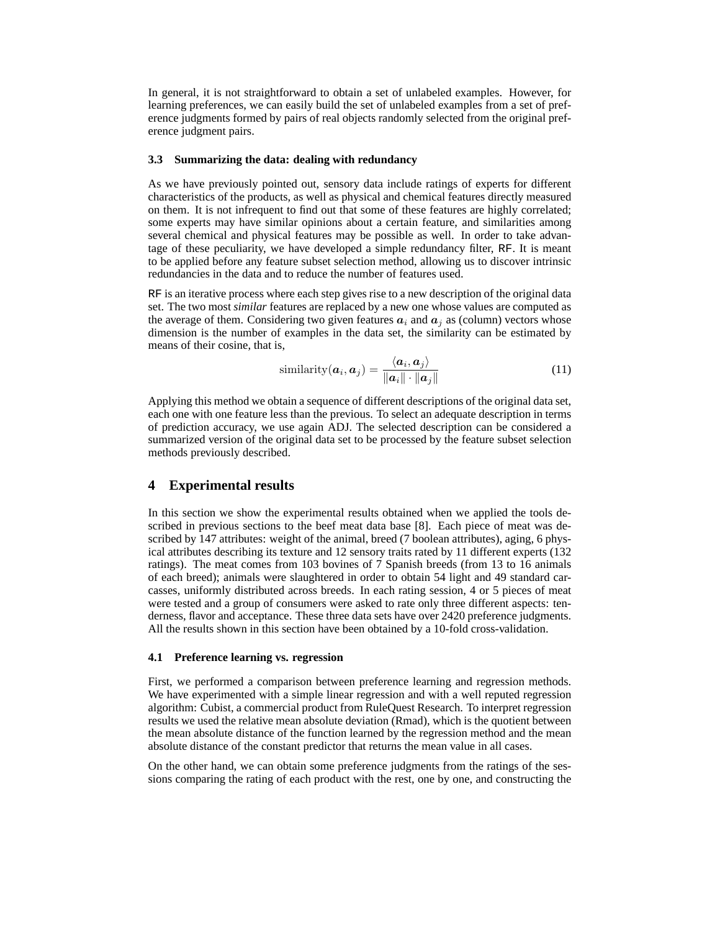In general, it is not straightforward to obtain a set of unlabeled examples. However, for learning preferences, we can easily build the set of unlabeled examples from a set of preference judgments formed by pairs of real objects randomly selected from the original preference judgment pairs.

#### **3.3 Summarizing the data: dealing with redundancy**

As we have previously pointed out, sensory data include ratings of experts for different characteristics of the products, as well as physical and chemical features directly measured on them. It is not infrequent to find out that some of these features are highly correlated; some experts may have similar opinions about a certain feature, and similarities among several chemical and physical features may be possible as well. In order to take advantage of these peculiarity, we have developed a simple redundancy filter, RF. It is meant to be applied before any feature subset selection method, allowing us to discover intrinsic redundancies in the data and to reduce the number of features used.

RF is an iterative process where each step gives rise to a new description of the original data set. The two most *similar* features are replaced by a new one whose values are computed as the average of them. Considering two given features  $a_i$  and  $a_j$  as (column) vectors whose dimension is the number of examples in the data set, the similarity can be estimated by means of their cosine, that is,

$$
\text{similarity}(\boldsymbol{a}_i, \boldsymbol{a}_j) = \frac{\langle \boldsymbol{a}_i, \boldsymbol{a}_j \rangle}{\|\boldsymbol{a}_i\| \cdot \|\boldsymbol{a}_j\|} \tag{11}
$$

Applying this method we obtain a sequence of different descriptions of the original data set, each one with one feature less than the previous. To select an adequate description in terms of prediction accuracy, we use again ADJ. The selected description can be considered a summarized version of the original data set to be processed by the feature subset selection methods previously described.

## **4 Experimental results**

In this section we show the experimental results obtained when we applied the tools described in previous sections to the beef meat data base [8]. Each piece of meat was described by 147 attributes: weight of the animal, breed (7 boolean attributes), aging, 6 physical attributes describing its texture and 12 sensory traits rated by 11 different experts (132 ratings). The meat comes from 103 bovines of 7 Spanish breeds (from 13 to 16 animals of each breed); animals were slaughtered in order to obtain 54 light and 49 standard carcasses, uniformly distributed across breeds. In each rating session, 4 or 5 pieces of meat were tested and a group of consumers were asked to rate only three different aspects: tenderness, flavor and acceptance. These three data sets have over 2420 preference judgments. All the results shown in this section have been obtained by a 10-fold cross-validation.

#### **4.1 Preference learning vs. regression**

First, we performed a comparison between preference learning and regression methods. We have experimented with a simple linear regression and with a well reputed regression algorithm: Cubist, a commercial product from RuleQuest Research. To interpret regression results we used the relative mean absolute deviation (Rmad), which is the quotient between the mean absolute distance of the function learned by the regression method and the mean absolute distance of the constant predictor that returns the mean value in all cases.

On the other hand, we can obtain some preference judgments from the ratings of the sessions comparing the rating of each product with the rest, one by one, and constructing the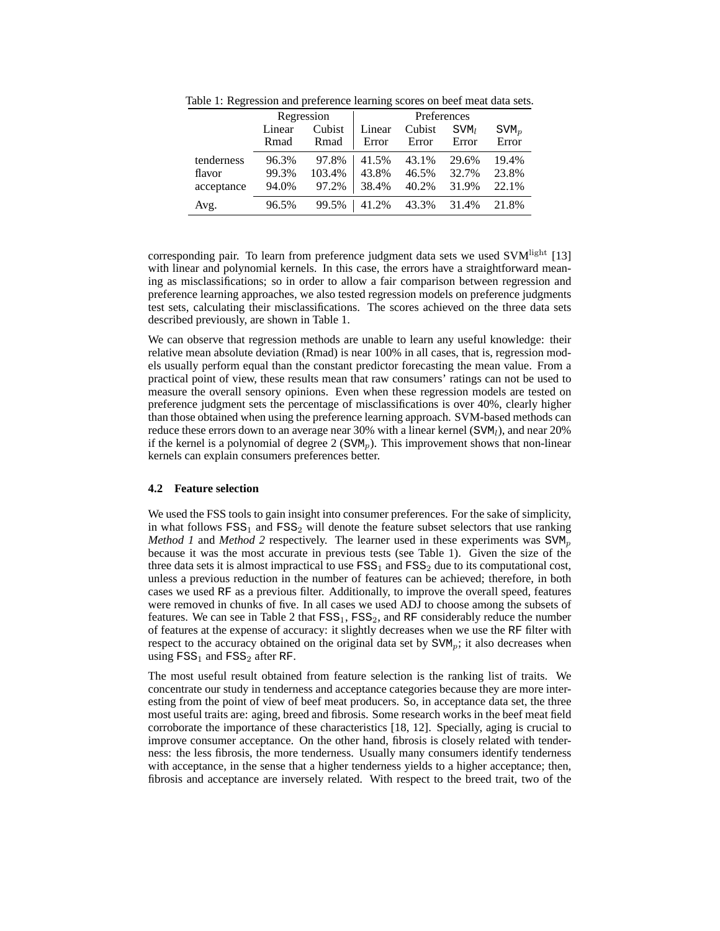|            | Regression |        | Preferences |        |                  |                |
|------------|------------|--------|-------------|--------|------------------|----------------|
|            | Linear     | Cubist | Linear      | Cubist | SVM <sub>l</sub> | $\text{SVM}_p$ |
|            | Rmad       | Rmad   | Error       | Error  | Error            | Error          |
| tenderness | 96.3%      | 97.8%  | 41.5%       | 43.1%  | 29.6%            | 19.4%          |
| flavor     | 99.3%      | 103.4% | 43.8%       | 46.5%  | 32.7%            | 23.8%          |
| acceptance | 94.0%      | 97.2%  | 38.4%       | 40.2%  | 31.9%            | 22.1%          |
| Avg.       | 96.5%      | 99.5%  | 41.2%       | 43.3%  | 31.4%            | 21.8%          |

Table 1: Regression and preference learning scores on beef meat data sets.

corresponding pair. To learn from preference judgment data sets we used  $SVM<sup>light</sup>$  [13] with linear and polynomial kernels. In this case, the errors have a straightforward meaning as misclassifications; so in order to allow a fair comparison between regression and preference learning approaches, we also tested regression models on preference judgments test sets, calculating their misclassifications. The scores achieved on the three data sets described previously, are shown in Table 1.

We can observe that regression methods are unable to learn any useful knowledge: their relative mean absolute deviation (Rmad) is near 100% in all cases, that is, regression models usually perform equal than the constant predictor forecasting the mean value. From a practical point of view, these results mean that raw consumers' ratings can not be used to measure the overall sensory opinions. Even when these regression models are tested on preference judgment sets the percentage of misclassifications is over 40%, clearly higher than those obtained when using the preference learning approach. SVM-based methods can reduce these errors down to an average near 30% with a linear kernel  $(SVM<sub>l</sub>)$ , and near 20% if the kernel is a polynomial of degree 2 ( $SVM<sub>n</sub>$ ). This improvement shows that non-linear kernels can explain consumers preferences better.

## **4.2 Feature selection**

We used the FSS tools to gain insight into consumer preferences. For the sake of simplicity, in what follows  $FSS<sub>1</sub>$  and  $FSS<sub>2</sub>$  will denote the feature subset selectors that use ranking *Method 1* and *Method 2* respectively. The learner used in these experiments was  $SVM_p$ because it was the most accurate in previous tests (see Table 1). Given the size of the three data sets it is almost impractical to use  $FSS<sub>1</sub>$  and  $FSS<sub>2</sub>$  due to its computational cost, unless a previous reduction in the number of features can be achieved; therefore, in both cases we used RF as a previous filter. Additionally, to improve the overall speed, features were removed in chunks of five. In all cases we used ADJ to choose among the subsets of features. We can see in Table 2 that  $FSS<sub>1</sub>$ ,  $FSS<sub>2</sub>$ , and RF considerably reduce the number of features at the expense of accuracy: it slightly decreases when we use the RF filter with respect to the accuracy obtained on the original data set by  $SVM_p$ ; it also decreases when using  $FSS_1$  and  $FSS_2$  after RF.

The most useful result obtained from feature selection is the ranking list of traits. We concentrate our study in tenderness and acceptance categories because they are more interesting from the point of view of beef meat producers. So, in acceptance data set, the three most useful traits are: aging, breed and fibrosis. Some research works in the beef meat field corroborate the importance of these characteristics [18, 12]. Specially, aging is crucial to improve consumer acceptance. On the other hand, fibrosis is closely related with tenderness: the less fibrosis, the more tenderness. Usually many consumers identify tenderness with acceptance, in the sense that a higher tenderness yields to a higher acceptance; then, fibrosis and acceptance are inversely related. With respect to the breed trait, two of the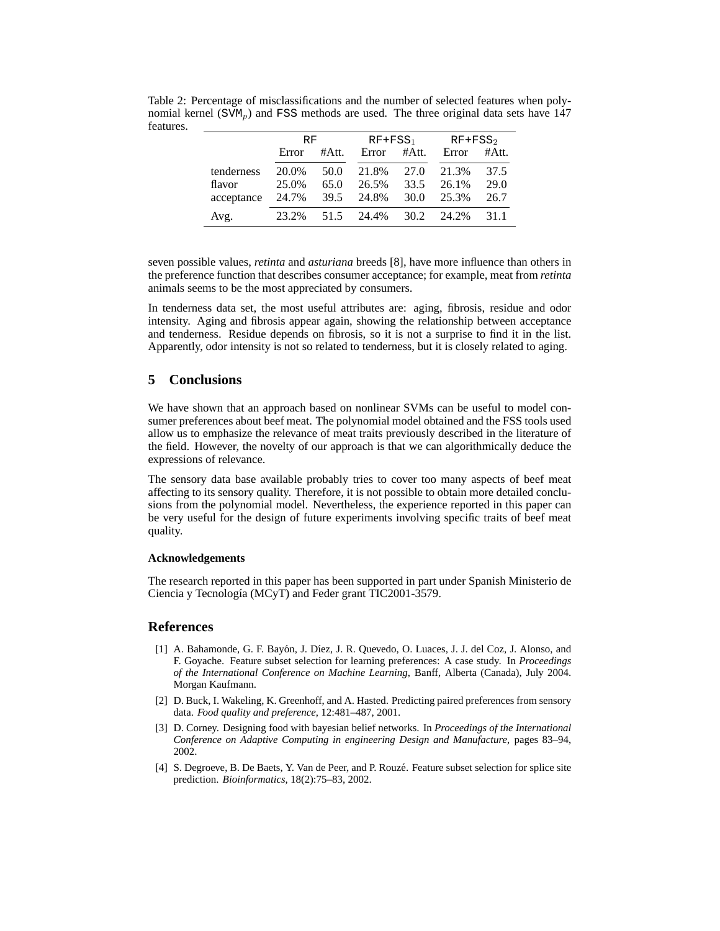|            | RF.   |       | $RF+FSS_1$ |       | $RF+FSS2$ |       |
|------------|-------|-------|------------|-------|-----------|-------|
|            | Error | #Att. | Error      | #Att. | Error     | #Att. |
| tenderness | 20.0% | 50.0  | 21.8%      | 27.0  | 21.3%     | 37.5  |
| flavor     | 25.0% | 65.0  | 26.5%      | 33.5  | 26.1%     | 29.0  |
| acceptance | 24.7% | 39.5  | 24.8%      | 30.0  | 25.3%     | 26.7  |
| Avg.       | 23.2% | 51.5  | 24.4%      | 30.2  | 24.2%     | 31.1  |

Table 2: Percentage of misclassifications and the number of selected features when polynomial kernel ( $\text{SVM}_n$ ) and FSS methods are used. The three original data sets have 147 features.

seven possible values, *retinta* and *asturiana* breeds [8], have more influence than others in the preference function that describes consumer acceptance; for example, meat from *retinta* animals seems to be the most appreciated by consumers.

In tenderness data set, the most useful attributes are: aging, fibrosis, residue and odor intensity. Aging and fibrosis appear again, showing the relationship between acceptance and tenderness. Residue depends on fibrosis, so it is not a surprise to find it in the list. Apparently, odor intensity is not so related to tenderness, but it is closely related to aging.

## **5 Conclusions**

We have shown that an approach based on nonlinear SVMs can be useful to model consumer preferences about beef meat. The polynomial model obtained and the FSS tools used allow us to emphasize the relevance of meat traits previously described in the literature of the field. However, the novelty of our approach is that we can algorithmically deduce the expressions of relevance.

The sensory data base available probably tries to cover too many aspects of beef meat affecting to its sensory quality. Therefore, it is not possible to obtain more detailed conclusions from the polynomial model. Nevertheless, the experience reported in this paper can be very useful for the design of future experiments involving specific traits of beef meat quality.

#### **Acknowledgements**

The research reported in this paper has been supported in part under Spanish Ministerio de Ciencia y Tecnología (MCyT) and Feder grant TIC2001-3579.

### **References**

- [1] A. Bahamonde, G. F. Bayón, J. Díez, J. R. Quevedo, O. Luaces, J. J. del Coz, J. Alonso, and F. Goyache. Feature subset selection for learning preferences: A case study. In *Proceedings of the International Conference on Machine Learning*, Banff, Alberta (Canada), July 2004. Morgan Kaufmann.
- [2] D. Buck, I. Wakeling, K. Greenhoff, and A. Hasted. Predicting paired preferences from sensory data. *Food quality and preference*, 12:481–487, 2001.
- [3] D. Corney. Designing food with bayesian belief networks. In *Proceedings of the International Conference on Adaptive Computing in engineering Design and Manufacture*, pages 83–94, 2002.
- [4] S. Degroeve, B. De Baets, Y. Van de Peer, and P. Rouze. Feature subset selection for splice site ´ prediction. *Bioinformatics*, 18(2):75–83, 2002.